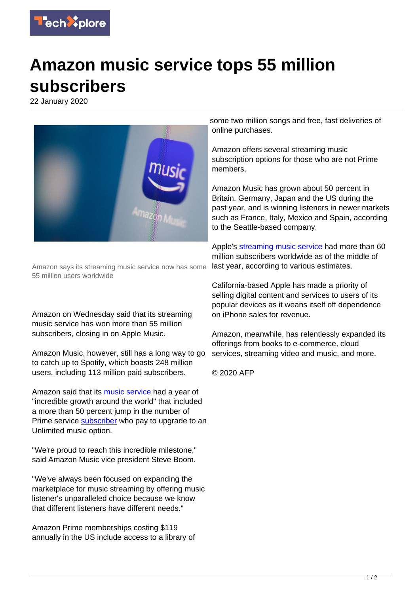

## **Amazon music service tops 55 million subscribers**

22 January 2020



Amazon says its streaming music service now has some 55 million users worldwide

Amazon on Wednesday said that its streaming music service has won more than 55 million subscribers, closing in on Apple Music.

Amazon Music, however, still has a long way to go to catch up to Spotify, which boasts 248 million users, including 113 million paid subscribers.

Amazon said that its [music service](https://techxplore.com/tags/music+service/) had a year of "incredible growth around the world" that included a more than 50 percent jump in the number of Prime service [subscriber](https://techxplore.com/tags/subscriber/) who pay to upgrade to an Unlimited music option.

"We're proud to reach this incredible milestone," said Amazon Music vice president Steve Boom.

"We've always been focused on expanding the marketplace for music streaming by offering music listener's unparalleled choice because we know that different listeners have different needs."

Amazon Prime memberships costing \$119 annually in the US include access to a library of some two million songs and free, fast deliveries of online purchases.

Amazon offers several streaming music subscription options for those who are not Prime members.

Amazon Music has grown about 50 percent in Britain, Germany, Japan and the US during the past year, and is winning listeners in newer markets such as France, Italy, Mexico and Spain, according to the Seattle-based company.

Apple's [streaming music service](https://techxplore.com/tags/streaming+music+service/) had more than 60 million subscribers worldwide as of the middle of last year, according to various estimates.

California-based Apple has made a priority of selling digital content and services to users of its popular devices as it weans itself off dependence on iPhone sales for revenue.

Amazon, meanwhile, has relentlessly expanded its offerings from books to e-commerce, cloud services, streaming video and music, and more.

© 2020 AFP